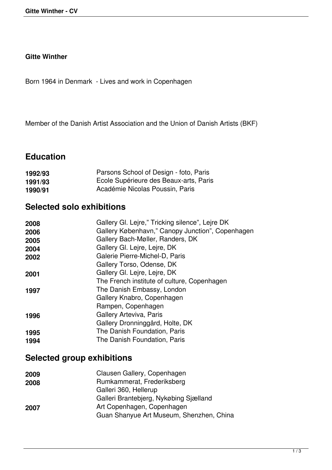#### **Gitte Winther**

Born 1964 in Denmark - Lives and work in Copenhagen

Member of the Danish Artist Association and the Union of Danish Artists (BKF)

#### **Education**

| 1992/93 | Parsons School of Design - foto, Paris |
|---------|----------------------------------------|
| 1991/93 | Ecole Supérieure des Beaux-arts, Paris |
| 1990/91 | Académie Nicolas Poussin, Paris        |

### **Selected solo exhibitions**

| Gallery Gl. Lejre," Tricking silence", Lejre DK<br>Gallery København," Canopy Junction", Copenhagen |
|-----------------------------------------------------------------------------------------------------|
| Gallery Bach-Møller, Randers, DK                                                                    |
| Gallery Gl. Lejre, Lejre, DK                                                                        |
| Galerie Pierre-Michel-D, Paris                                                                      |
| Gallery Torso, Odense, DK                                                                           |
| Gallery Gl. Lejre, Lejre, DK                                                                        |
| The French institute of culture, Copenhagen                                                         |
| The Danish Embassy, London                                                                          |
| Gallery Knabro, Copenhagen                                                                          |
| Rampen, Copenhagen                                                                                  |
| Gallery Arteviva, Paris                                                                             |
| Gallery Dronninggård, Holte, DK                                                                     |
| The Danish Foundation, Paris                                                                        |
| The Danish Foundation, Paris                                                                        |
|                                                                                                     |

## **Selected group exhibitions**

| 2009 | Clausen Gallery, Copenhagen              |
|------|------------------------------------------|
| 2008 | Rumkammerat, Frederiksberg               |
|      | Galleri 360, Hellerup                    |
|      | Galleri Brantebjerg, Nykøbing Sjælland   |
| 2007 | Art Copenhagen, Copenhagen               |
|      | Guan Shanyue Art Museum, Shenzhen, China |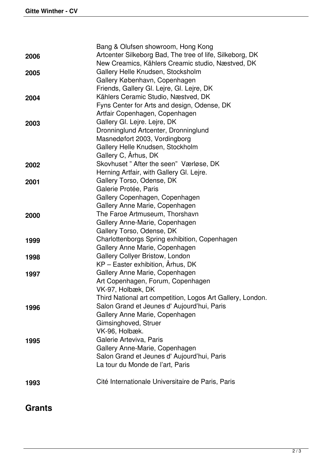|      | Bang & Olufsen showroom, Hong Kong                         |
|------|------------------------------------------------------------|
| 2006 | Artcenter Silkeborg Bad, The tree of life, Silkeborg, DK   |
|      | New Creamics, Kählers Creamic studio, Næstved, DK          |
| 2005 | Gallery Helle Knudsen, Stocksholm                          |
|      | Gallery København, Copenhagen                              |
|      | Friends, Gallery Gl. Lejre, Gl. Lejre, DK                  |
| 2004 | Kählers Ceramic Studio, Næstved, DK                        |
|      | Fyns Center for Arts and design, Odense, DK                |
|      | Artfair Copenhagen, Copenhagen                             |
| 2003 | Gallery Gl. Lejre. Lejre, DK                               |
|      | Dronninglund Artcenter, Dronninglund                       |
|      | Masnedøfort 2003, Vordingborg                              |
|      | Gallery Helle Knudsen, Stockholm                           |
|      | Gallery C, Århus, DK                                       |
| 2002 | Skovhuset" After the seen" Værløse, DK                     |
|      | Herning Artfair, with Gallery Gl. Lejre.                   |
| 2001 | Gallery Torso, Odense, DK                                  |
|      | Galerie Protée, Paris                                      |
|      | Gallery Copenhagen, Copenhagen                             |
|      | Gallery Anne Marie, Copenhagen                             |
| 2000 | The Faroe Artmuseum, Thorshavn                             |
|      | Gallery Anne-Marie, Copenhagen                             |
|      | Gallery Torso, Odense, DK                                  |
| 1999 | Charlottenborgs Spring exhibition, Copenhagen              |
|      | Gallery Anne Marie, Copenhagen                             |
| 1998 | Gallery Collyer Bristow, London                            |
|      | KP - Easter exhibition, Århus, DK                          |
| 1997 | Gallery Anne Marie, Copenhagen                             |
|      | Art Copenhagen, Forum, Copenhagen                          |
|      | VK-97, Holbæk, DK                                          |
|      | Third National art competition, Logos Art Gallery, London. |
| 1996 | Salon Grand et Jeunes d' Aujourd'hui, Paris                |
|      | Gallery Anne Marie, Copenhagen                             |
|      | Gimsinghoved, Struer                                       |
|      | VK-96, Holbæk.                                             |
| 1995 | Galerie Arteviva, Paris                                    |
|      | Gallery Anne-Marie, Copenhagen                             |
|      | Salon Grand et Jeunes d'Aujourd'hui, Paris                 |
|      | La tour du Monde de l'art, Paris                           |
|      |                                                            |
| 1993 | Cité Internationale Universitaire de Paris, Paris          |
|      |                                                            |

# **Grants**